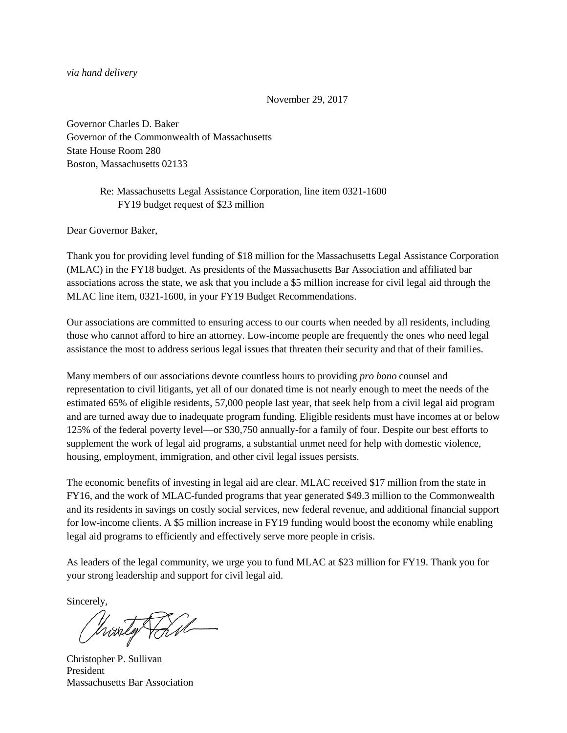*via hand delivery*

November 29, 2017

Governor Charles D. Baker Governor of the Commonwealth of Massachusetts State House Room 280 Boston, Massachusetts 02133

## Re: Massachusetts Legal Assistance Corporation, line item 0321-1600 FY19 budget request of \$23 million

Dear Governor Baker,

Thank you for providing level funding of \$18 million for the Massachusetts Legal Assistance Corporation (MLAC) in the FY18 budget. As presidents of the Massachusetts Bar Association and affiliated bar associations across the state, we ask that you include a \$5 million increase for civil legal aid through the MLAC line item, 0321-1600, in your FY19 Budget Recommendations.

Our associations are committed to ensuring access to our courts when needed by all residents, including those who cannot afford to hire an attorney. Low-income people are frequently the ones who need legal assistance the most to address serious legal issues that threaten their security and that of their families.

Many members of our associations devote countless hours to providing *pro bono* counsel and representation to civil litigants, yet all of our donated time is not nearly enough to meet the needs of the estimated 65% of eligible residents, 57,000 people last year, that seek help from a civil legal aid program and are turned away due to inadequate program funding. Eligible residents must have incomes at or below 125% of the federal poverty level—or \$30,750 annually-for a family of four. Despite our best efforts to supplement the work of legal aid programs, a substantial unmet need for help with domestic violence, housing, employment, immigration, and other civil legal issues persists.

The economic benefits of investing in legal aid are clear. MLAC received \$17 million from the state in FY16, and the work of MLAC-funded programs that year generated \$49.3 million to the Commonwealth and its residents in savings on costly social services, new federal revenue, and additional financial support for low-income clients. A \$5 million increase in FY19 funding would boost the economy while enabling legal aid programs to efficiently and effectively serve more people in crisis.

As leaders of the legal community, we urge you to fund MLAC at \$23 million for FY19. Thank you for your strong leadership and support for civil legal aid.

Sincerely,

husty Tail

Christopher P. Sullivan President Massachusetts Bar Association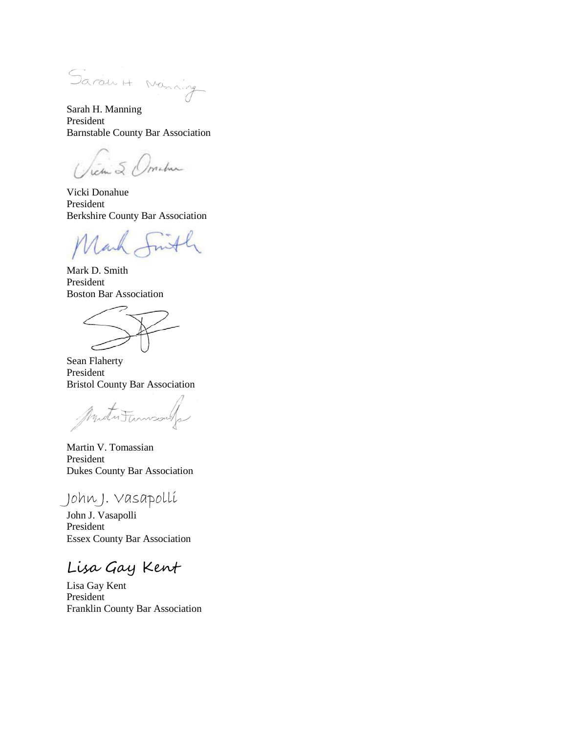Sarau H. Nanning

Sarah H. Manning President Barnstable County Bar Association

tem & Ometer

Vicki Donahue President Berkshire County Bar Association

lach

Mark D. Smith President Boston Bar Association

Sean Flaherty President Bristol County Bar Association

Mututumiss

Martin V. Tomassian President Dukes County Bar Association

John J. Vasapolli

John J. Vasapolli President Essex County Bar Association

Lisa Gay Kent

Lisa Gay Kent President Franklin County Bar Association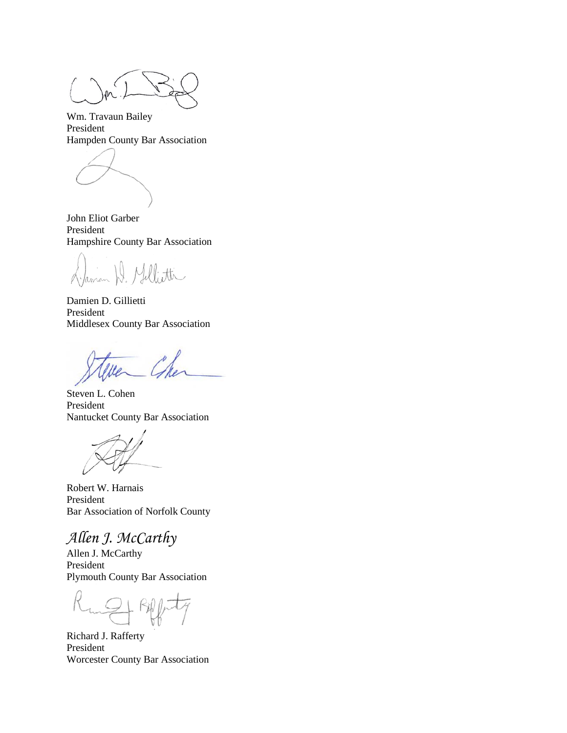Wm. Travaun Bailey President Hampden County Bar Association

John Eliot Garber President Hampshire County Bar Association

Jaman H. Millietti

Damien D. Gillietti President Middlesex County Bar Association

Steven L. Cohen President Nantucket County Bar Association

Robert W. Harnais President Bar Association of Norfolk County

*Allen J. McCarthy*

Allen J. McCarthy President Plymouth County Bar Association

Richard J. Rafferty President Worcester County Bar Association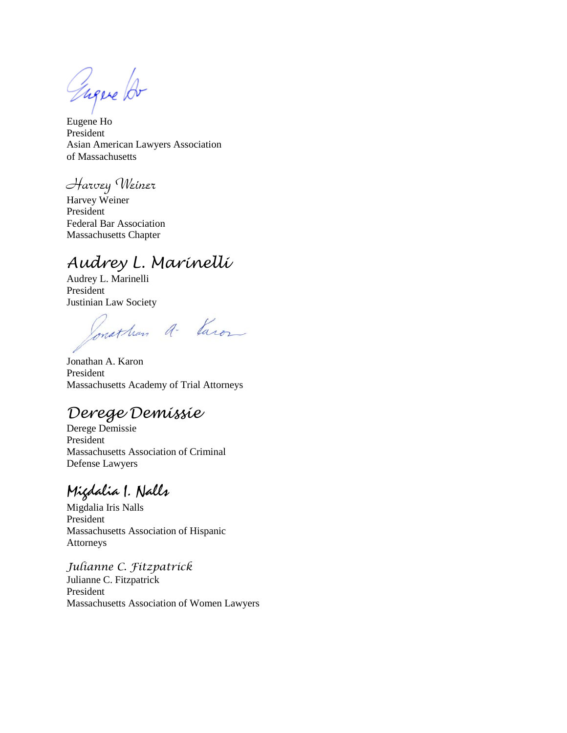Tugere for

Eugene Ho President Asian American Lawyers Association of Massachusetts

Harvey Weiner

Harvey Weiner President Federal Bar Association Massachusetts Chapter

## *Audrey L. Marinelli*

Audrey L. Marinelli President Justinian Law Society

Ponathan a- Varon

Jonathan A. Karon President Massachusetts Academy of Trial Attorneys

## *Derege Demissie*

Derege Demissie President Massachusetts Association of Criminal Defense Lawyers

Migdalia I. Nalls

Migdalia Iris Nalls President Massachusetts Association of Hispanic Attorneys

*Julianne C. Fitzpatrick* Julianne C. Fitzpatrick President Massachusetts Association of Women Lawyers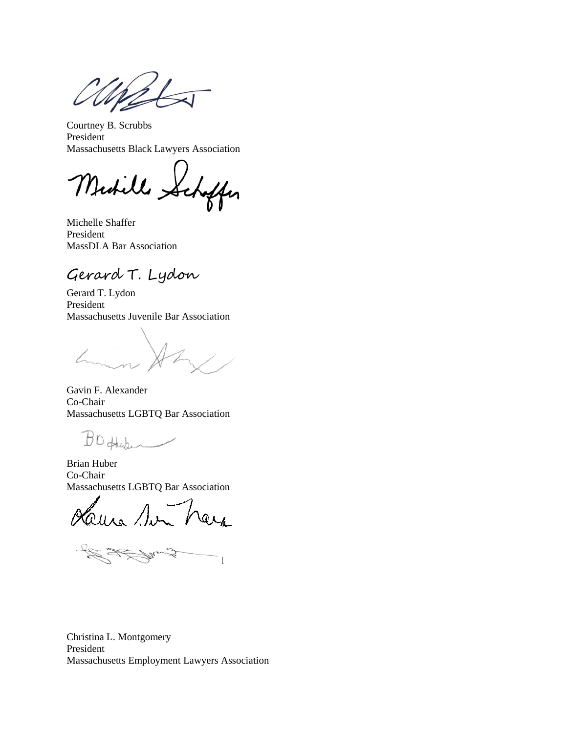Courtney B. Scrubbs President Massachusetts Black Lawyers Association

Midille Seh affer

Michelle Shaffer President MassDLA Bar Association

Gerard T. Lydon

Gerard T. Lydon President Massachusetts Juvenile Bar Association

Gavin F. Alexander Co-Chair Massachusetts LGBTQ Bar Association

BO fluter

Brian Huber Co-Chair Massachusetts LGBTQ Bar Association

aura Sur QLA

Pres  $\mathcal{A}$  ,  $\mathcal{A}$  ,  $\mathcal{A}$ 

Christina L. Montgomery President Massachusetts Employment Lawyers Association